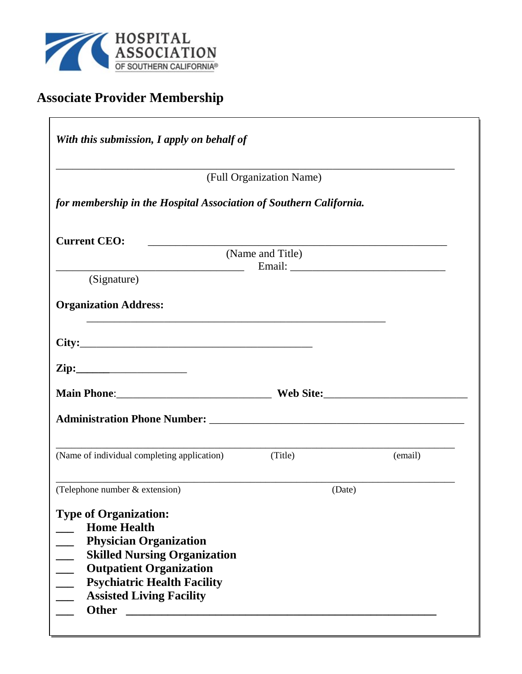

# **Associate Provider Membership**

| With this submission, I apply on behalf of                         |                          |         |
|--------------------------------------------------------------------|--------------------------|---------|
|                                                                    | (Full Organization Name) |         |
| for membership in the Hospital Association of Southern California. |                          |         |
| <b>Current CEO:</b>                                                |                          |         |
|                                                                    | (Name and Title)         |         |
| (Signature)                                                        |                          |         |
| <b>Organization Address:</b>                                       |                          |         |
|                                                                    |                          |         |
|                                                                    |                          |         |
|                                                                    |                          |         |
|                                                                    |                          |         |
| (Name of individual completing application)                        | (Title)                  | (email) |
| (Telephone number & extension)                                     | (Date)                   |         |
| <b>Type of Organization:</b><br><b>Home Health</b>                 |                          |         |